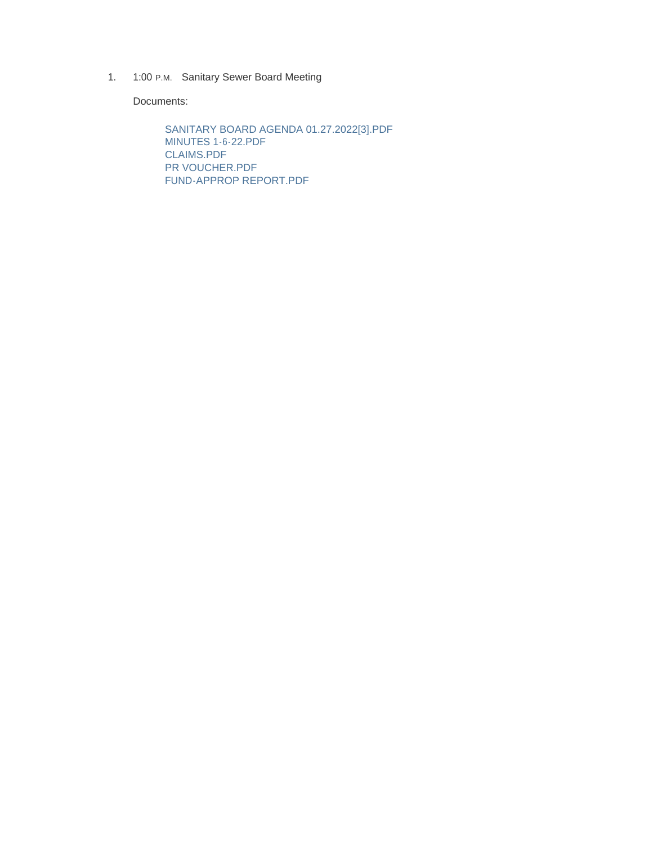1. 1:00 P.M. Sanitary Sewer Board Meeting

Documents:

SANITARY BOARD AGENDA 01.27.2022[3].PDF MINUTES 1-6-22.PDF CLAIMS.PDF PR VOUCHER.PDF FUND-APPROP REPORT.PDF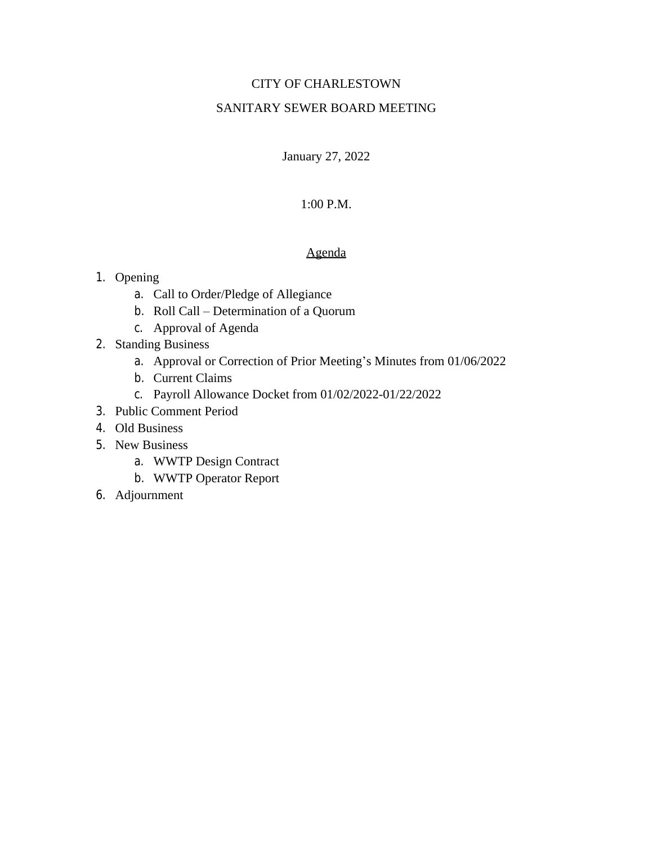## CITY OF CHARLESTOWN

### SANITARY SEWER BOARD MEETING

January 27, 2022

### 1:00 P.M.

#### Agenda

#### 1. Opening

- a. Call to Order/Pledge of Allegiance
- b. Roll Call Determination of a Quorum
- c. Approval of Agenda
- 2. Standing Business
	- a. Approval or Correction of Prior Meeting's Minutes from 01/06/2022
	- b. Current Claims
	- c. Payroll Allowance Docket from 01/02/2022-01/22/2022
- 3. Public Comment Period
- 4. Old Business
- 5. New Business
	- a. WWTP Design Contract
	- b. WWTP Operator Report
- 6. Adjournment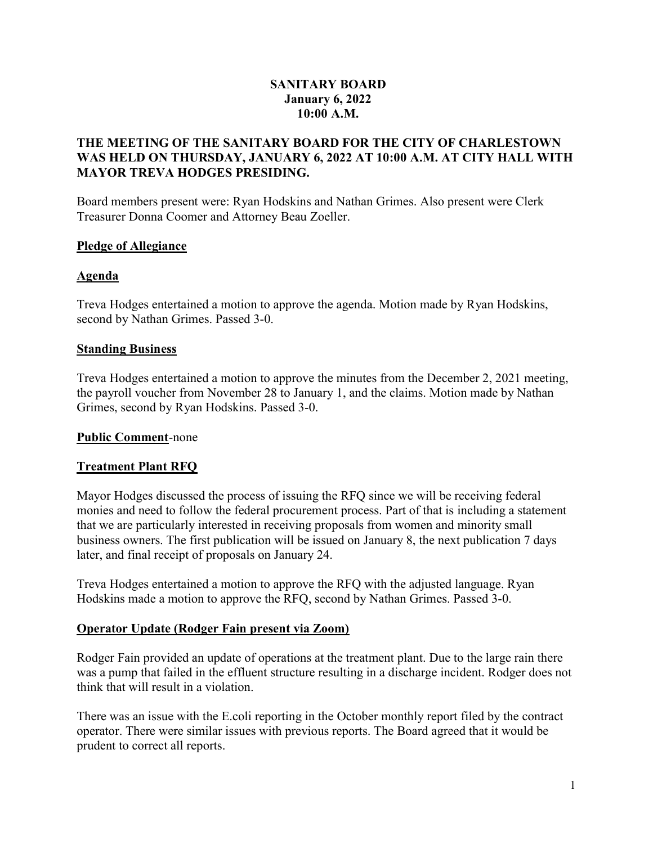### SANITARY BOARD January 6, 2022 10:00 A.M.

### THE MEETING OF THE SANITARY BOARD FOR THE CITY OF CHARLESTOWN WAS HELD ON THURSDAY, JANUARY 6, 2022 AT 10:00 A.M. AT CITY HALL WITH MAYOR TREVA HODGES PRESIDING.

Board members present were: Ryan Hodskins and Nathan Grimes. Also present were Clerk Treasurer Donna Coomer and Attorney Beau Zoeller.

#### Pledge of Allegiance

#### Agenda

Treva Hodges entertained a motion to approve the agenda. Motion made by Ryan Hodskins, second by Nathan Grimes. Passed 3-0.

#### Standing Business

Treva Hodges entertained a motion to approve the minutes from the December 2, 2021 meeting, the payroll voucher from November 28 to January 1, and the claims. Motion made by Nathan Grimes, second by Ryan Hodskins. Passed 3-0.

#### Public Comment-none

#### Treatment Plant RFQ

Mayor Hodges discussed the process of issuing the RFQ since we will be receiving federal monies and need to follow the federal procurement process. Part of that is including a statement that we are particularly interested in receiving proposals from women and minority small business owners. The first publication will be issued on January 8, the next publication 7 days later, and final receipt of proposals on January 24.

Treva Hodges entertained a motion to approve the RFQ with the adjusted language. Ryan Hodskins made a motion to approve the RFQ, second by Nathan Grimes. Passed 3-0.

#### Operator Update (Rodger Fain present via Zoom)

Rodger Fain provided an update of operations at the treatment plant. Due to the large rain there was a pump that failed in the effluent structure resulting in a discharge incident. Rodger does not think that will result in a violation.

There was an issue with the E.coli reporting in the October monthly report filed by the contract operator. There were similar issues with previous reports. The Board agreed that it would be prudent to correct all reports.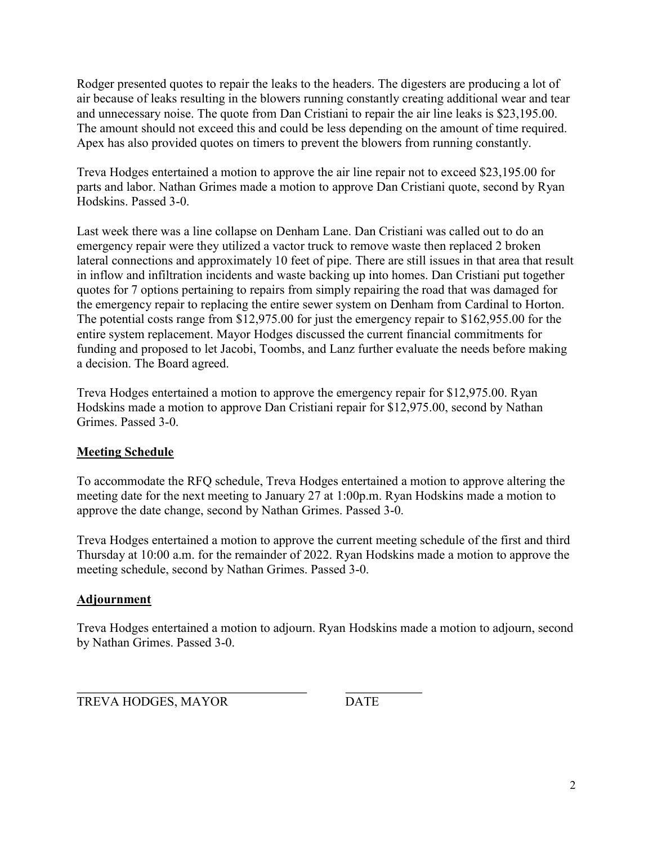Rodger presented quotes to repair the leaks to the headers. The digesters are producing a lot of air because of leaks resulting in the blowers running constantly creating additional wear and tear and unnecessary noise. The quote from Dan Cristiani to repair the air line leaks is \$23,195.00. The amount should not exceed this and could be less depending on the amount of time required. Apex has also provided quotes on timers to prevent the blowers from running constantly.

Treva Hodges entertained a motion to approve the air line repair not to exceed \$23,195.00 for parts and labor. Nathan Grimes made a motion to approve Dan Cristiani quote, second by Ryan Hodskins. Passed 3-0.

Last week there was a line collapse on Denham Lane. Dan Cristiani was called out to do an emergency repair were they utilized a vactor truck to remove waste then replaced 2 broken lateral connections and approximately 10 feet of pipe. There are still issues in that area that result in inflow and infiltration incidents and waste backing up into homes. Dan Cristiani put together quotes for 7 options pertaining to repairs from simply repairing the road that was damaged for the emergency repair to replacing the entire sewer system on Denham from Cardinal to Horton. The potential costs range from \$12,975.00 for just the emergency repair to \$162,955.00 for the entire system replacement. Mayor Hodges discussed the current financial commitments for funding and proposed to let Jacobi, Toombs, and Lanz further evaluate the needs before making a decision. The Board agreed.

Treva Hodges entertained a motion to approve the emergency repair for \$12,975.00. Ryan Hodskins made a motion to approve Dan Cristiani repair for \$12,975.00, second by Nathan Grimes. Passed 3-0.

# Meeting Schedule

To accommodate the RFQ schedule, Treva Hodges entertained a motion to approve altering the meeting date for the next meeting to January 27 at 1:00p.m. Ryan Hodskins made a motion to approve the date change, second by Nathan Grimes. Passed 3-0.

Treva Hodges entertained a motion to approve the current meeting schedule of the first and third Thursday at 10:00 a.m. for the remainder of 2022. Ryan Hodskins made a motion to approve the meeting schedule, second by Nathan Grimes. Passed 3-0.

## Adjournment

Treva Hodges entertained a motion to adjourn. Ryan Hodskins made a motion to adjourn, second by Nathan Grimes. Passed 3-0.

 $\overline{a}$ TREVA HODGES, MAYOR DATE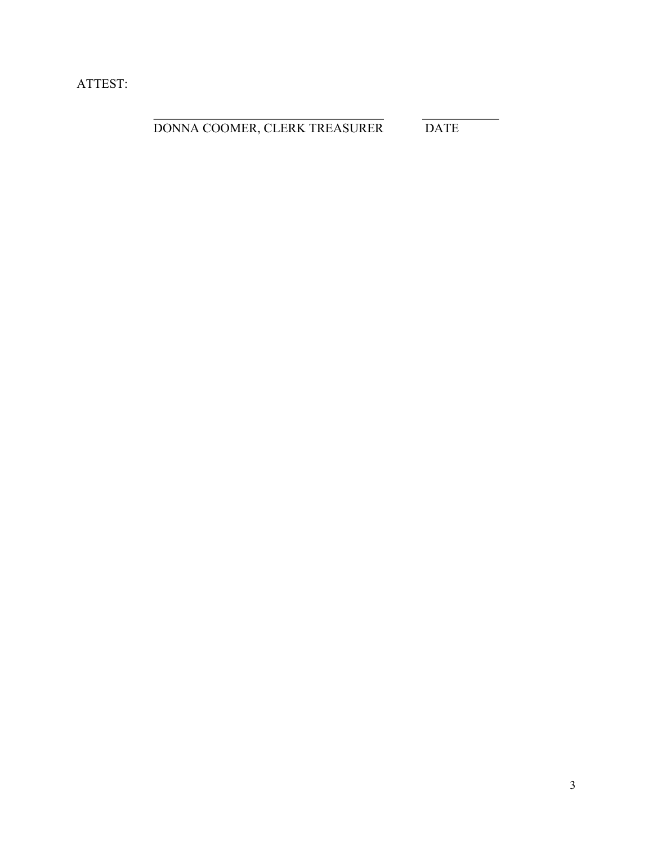ATTEST:

 $\overline{a}$ 

DONNA COOMER, CLERK TREASURER DATE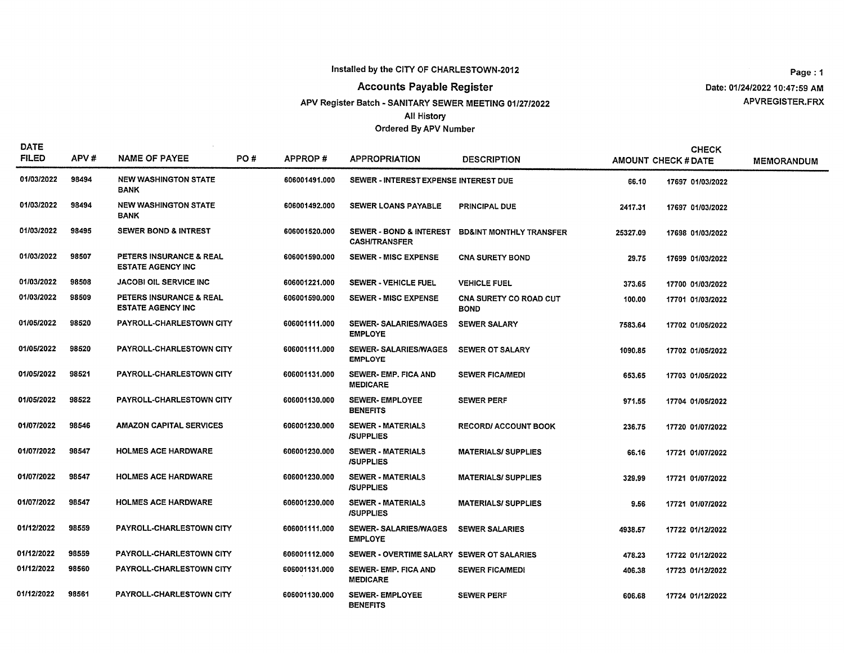**Accounts Payable Register** 

APV Register Batch - SANITARY SEWER MEETING 01/27/2022

**All History** 

Ordered By APV Number

Page: 1 Date: 01/24/2022 10:47:59 AM APVREGISTER.FRX

| <b>DATE</b><br><b>FILED</b> | APV#  | <b>NAME OF PAYEE</b>                                           | PO# | APPROP#       | <b>APPROPRIATION</b>                                       | <b>DESCRIPTION</b>                           |          | <b>CHECK</b><br><b>AMOUNT CHECK # DATE</b> | <b>MEMORANDUM</b> |
|-----------------------------|-------|----------------------------------------------------------------|-----|---------------|------------------------------------------------------------|----------------------------------------------|----------|--------------------------------------------|-------------------|
| 01/03/2022                  | 98494 | <b>NEW WASHINGTON STATE</b><br><b>BANK</b>                     |     | 606001491.000 | SEWER - INTEREST EXPENSE INTEREST DUE                      |                                              | 66.10    | 17697 01/03/2022                           |                   |
| 01/03/2022                  | 98494 | <b>NEW WASHINGTON STATE</b><br><b>BANK</b>                     |     | 606001492.000 | <b>SEWER LOANS PAYABLE</b>                                 | PRINCIPAL DUE                                | 2417.31  | 17697 01/03/2022                           |                   |
| 01/03/2022                  | 98495 | <b>SEWER BOND &amp; INTREST</b>                                |     | 606001520.000 | <b>SEWER - BOND &amp; INTEREST</b><br><b>CASH/TRANSFER</b> | <b>BD&amp;INT MONTHLY TRANSFER</b>           | 25327.09 | 17698 01/03/2022                           |                   |
| 01/03/2022                  | 98507 | <b>PETERS INSURANCE &amp; REAL</b><br><b>ESTATE AGENCY INC</b> |     | 606001590.000 | <b>SEWER - MISC EXPENSE</b>                                | <b>CNA SURETY BOND</b>                       | 29.75    | 17699 01/03/2022                           |                   |
| 01/03/2022                  | 98508 | <b>JACOBI OIL SERVICE INC</b>                                  |     | 606001221.000 | <b>SEWER - VEHICLE FUEL</b>                                | <b>VEHICLE FUEL</b>                          | 373.65   | 17700 01/03/2022                           |                   |
| 01/03/2022                  | 98509 | <b>PETERS INSURANCE &amp; REAL</b><br><b>ESTATE AGENCY INC</b> |     | 606001590.000 | <b>SEWER - MISC EXPENSE</b>                                | <b>CNA SURETY CO ROAD CUT</b><br><b>BOND</b> | 100.00   | 17701 01/03/2022                           |                   |
| 01/05/2022                  | 98520 | PAYROLL-CHARLESTOWN CITY                                       |     | 606001111.000 | <b>SEWER-SALARIES/WAGES</b><br><b>EMPLOYE</b>              | <b>SEWER SALARY</b>                          | 7583.64  | 17702 01/05/2022                           |                   |
| 01/05/2022                  | 98520 | PAYROLL-CHARLESTOWN CITY                                       |     | 606001111.000 | <b>SEWER-SALARIES/WAGES</b><br><b>EMPLOYE</b>              | <b>SEWER OT SALARY</b>                       | 1090.85  | 17702 01/05/2022                           |                   |
| 01/05/2022                  | 98521 | PAYROLL-CHARLESTOWN CITY                                       |     | 606001131.000 | <b>SEWER- EMP. FICA AND</b><br><b>MEDICARE</b>             | <b>SEWER FICA/MEDI</b>                       | 653.65   | 17703 01/05/2022                           |                   |
| 01/05/2022                  | 98522 | <b>PAYROLL-CHARLESTOWN CITY</b>                                |     | 606001130.000 | <b>SEWER-EMPLOYEE</b><br><b>BENEFITS</b>                   | <b>SEWER PERF</b>                            | 971.55   | 17704 01/05/2022                           |                   |
| 01/07/2022                  | 98546 | <b>AMAZON CAPITAL SERVICES</b>                                 |     | 606001230.000 | <b>SEWER - MATERIALS</b><br><b>ISUPPLIES</b>               | <b>RECORD/ ACCOUNT BOOK</b>                  | 236.75   | 17720 01/07/2022                           |                   |
| 01/07/2022                  | 98547 | <b>HOLMES ACE HARDWARE</b>                                     |     | 606001230.000 | <b>SEWER - MATERIALS</b><br><b>/SUPPLIES</b>               | <b>MATERIALS/ SUPPLIES</b>                   | 66.16    | 17721 01/07/2022                           |                   |
| 01/07/2022                  | 98547 | <b>HOLMES ACE HARDWARE</b>                                     |     | 606001230.000 | <b>SEWER - MATERIALS</b><br><b>ISUPPLIES</b>               | <b>MATERIALS/SUPPLIES</b>                    | 329,99   | 17721 01/07/2022                           |                   |
| 01/07/2022                  | 98547 | <b>HOLMES ACE HARDWARE</b>                                     |     | 606001230.000 | <b>SEWER - MATERIALS</b><br><b>ISUPPLIES</b>               | <b>MATERIALS/SUPPLIES</b>                    | 9.56     | 17721 01/07/2022                           |                   |
| 01/12/2022                  | 98559 | PAYROLL-CHARLESTOWN CITY                                       |     | 606001111.000 | <b>SEWER-SALARIES/WAGES</b><br><b>EMPLOYE</b>              | <b>SEWER SALARIES</b>                        | 4938.57  | 17722 01/12/2022                           |                   |
| 01/12/2022                  | 98559 | PAYROLL-CHARLESTOWN CITY                                       |     | 606001112,000 | SEWER - OVERTIME SALARY SEWER OT SALARIES                  |                                              | 478.23   | 17722 01/12/2022                           |                   |
| 01/12/2022                  | 98560 | PAYROLL-CHARLESTOWN CITY                                       |     | 606001131.000 | <b>SEWER-EMP, FICA AND</b><br><b>MEDICARE</b>              | <b>SEWER FICA/MEDI</b>                       | 406.38   | 17723 01/12/2022                           |                   |
| 01/12/2022                  | 98561 | PAYROLL-CHARLESTOWN CITY                                       |     | 606001130.000 | <b>SEWER-EMPLOYEE</b><br><b>BENEFITS</b>                   | <b>SEWER PERF</b>                            | 606.68   | 17724 01/12/2022                           |                   |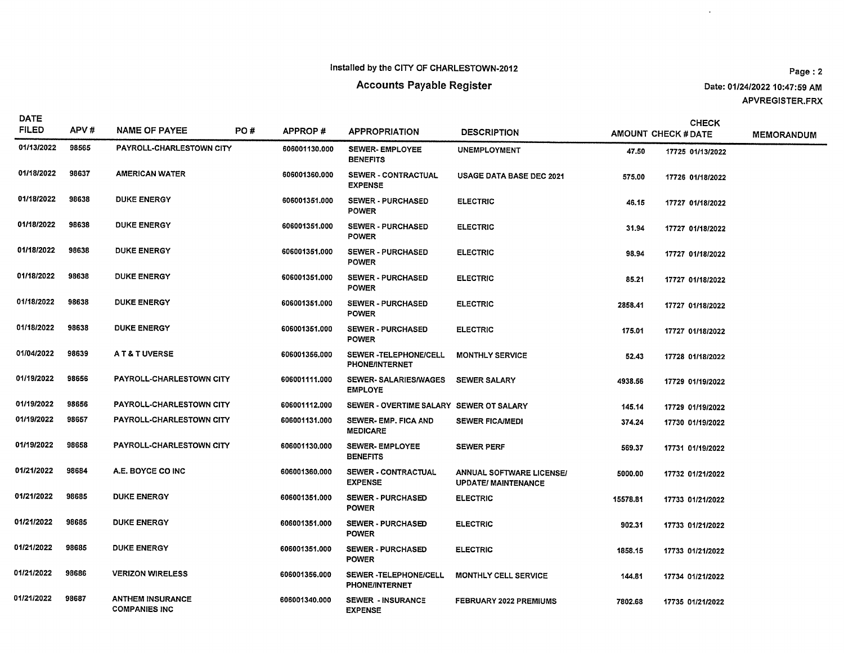$\sim$ 

| <b>DATE</b><br><b>FILED</b> | APV#  | <b>NAME OF PAYEE</b>                            | PO# | APPROP#       | <b>APPROPRIATION</b>                           | <b>DESCRIPTION</b>                                            |          | <b>CHECK</b><br><b>AMOUNT CHECK # DATE</b> | <b>MEMORANDUM</b> |
|-----------------------------|-------|-------------------------------------------------|-----|---------------|------------------------------------------------|---------------------------------------------------------------|----------|--------------------------------------------|-------------------|
| 01/13/2022                  | 98565 | PAYROLL-CHARLESTOWN CITY                        |     | 606001130.000 | <b>SEWER-EMPLOYEE</b><br><b>BENEFITS</b>       | <b>UNEMPLOYMENT</b>                                           | 47.50    | 17725 01/13/2022                           |                   |
| 01/18/2022                  | 98637 | <b>AMERICAN WATER</b>                           |     | 606001360.000 | SEWER - CONTRACTUAL<br><b>EXPENSE</b>          | USAGE DATA BASE DEC 2021                                      | 575.00   | 17726 01/18/2022                           |                   |
| 01/18/2022                  | 98638 | <b>DUKE ENERGY</b>                              |     | 606001351.000 | <b>SEWER - PURCHASED</b><br><b>POWER</b>       | <b>ELECTRIC</b>                                               | 46.15    | 17727 01/18/2022                           |                   |
| 01/18/2022                  | 98638 | <b>DUKE ENERGY</b>                              |     | 606001351.000 | <b>SEWER - PURCHASED</b><br><b>POWER</b>       | <b>ELECTRIC</b>                                               | 31.94    | 17727 01/18/2022                           |                   |
| 01/18/2022                  | 98638 | <b>DUKE ENERGY</b>                              |     | 606001351.000 | <b>SEWER - PURCHASED</b><br><b>POWER</b>       | <b>ELECTRIC</b>                                               | 98.94    | 17727 01/18/2022                           |                   |
| 01/18/2022                  | 98638 | <b>DUKE ENERGY</b>                              |     | 606001351.000 | <b>SEWER - PURCHASED</b><br><b>POWER</b>       | <b>ELECTRIC</b>                                               | 85.21    | 17727 01/18/2022                           |                   |
| 01/18/2022                  | 98638 | <b>DUKE ENERGY</b>                              |     | 606001351.000 | <b>SEWER - PURCHASED</b><br><b>POWER</b>       | <b>ELECTRIC</b>                                               | 2858.41  | 17727 01/18/2022                           |                   |
| 01/18/2022                  | 98638 | <b>DUKE ENERGY</b>                              |     | 606001351.000 | <b>SEWER - PURCHASED</b><br><b>POWER</b>       | <b>ELECTRIC</b>                                               | 175.01   | 17727 01/18/2022                           |                   |
| 01/04/2022                  | 98639 | AT& TUVERSE                                     |     | 606001356.000 | SEWER -TELEPHONE/CELL<br><b>PHONE/INTERNET</b> | <b>MONTHLY SERVICE</b>                                        | 52.43    | 17728 01/18/2022                           |                   |
| 01/19/2022                  | 98656 | <b>PAYROLL-CHARLESTOWN CITY</b>                 |     | 606001111.000 | SEWER-SALARIES/WAGES<br><b>EMPLOYE</b>         | <b>SEWER SALARY</b>                                           | 4938.56  | 17729 01/19/2022                           |                   |
| 01/19/2022                  | 98656 | PAYROLL-CHARLESTOWN CITY                        |     | 606001112.000 | SEWER - OVERTIME SALARY SEWER OT SALARY        |                                                               | 145.14   | 17729 01/19/2022                           |                   |
| 01/19/2022                  | 98657 | PAYROLL-CHARLESTOWN CITY                        |     | 606001131.000 | SEWER- EMP. FICA AND<br><b>MEDICARE</b>        | <b>SEWER FICAMEDI</b>                                         | 374.24   | 17730 01/19/2022                           |                   |
| 01/19/2022                  | 98658 | PAYROLL-CHARLESTOWN CITY                        |     | 606001130,000 | <b>SEWER-EMPLOYEE</b><br><b>BENEFITS</b>       | <b>SEWER PERF</b>                                             | 569.37   | 17731 01/19/2022                           |                   |
| 01/21/2022                  | 98684 | A.E. BOYCE CO INC                               |     | 606001360.000 | SEWER - CONTRACTUAL<br><b>EXPENSE</b>          | <b>ANNUAL SOFTWARE LICENSE/</b><br><b>UPDATE/ MAINTENANCE</b> | 5000.00  | 17732 01/21/2022                           |                   |
| 01/21/2022                  | 98685 | <b>DUKE ENERGY</b>                              |     | 606001351.000 | <b>SEWER - PURCHASED</b><br><b>POWER</b>       | <b>ELECTRIC</b>                                               | 15578.81 | 17733 01/21/2022                           |                   |
| 01/21/2022                  | 98685 | <b>DUKE ENERGY</b>                              |     | 606001351.000 | <b>SEWER - PURCHASED</b><br><b>POWER</b>       | <b>ELECTRIC</b>                                               | 902.31   | 17733 01/21/2022                           |                   |
| 01/21/2022                  | 98685 | <b>DUKE ENERGY</b>                              |     | 606001351.000 | <b>SEWER - PURCHASED</b><br><b>POWER</b>       | <b>ELECTRIC</b>                                               | 1858.15  | 17733 01/21/2022                           |                   |
| 01/21/2022                  | 98686 | <b>VERIZON WIRELESS</b>                         |     | 606001356.000 | SEWER-TELEPHONE/CELL<br><b>PHONE/INTERNET</b>  | MONTHLY CELL SERVICE                                          | 144.81   | 17734 01/21/2022                           |                   |
| 01/21/2022                  | 98687 | <b>ANTHEM INSURANCE</b><br><b>COMPANIES INC</b> |     | 606001340.000 | <b>SEWER - INSURANCE</b><br><b>EXPENSE</b>     | FEBRUARY 2022 PREMIUMS                                        | 7802.68  | 17735 01/21/2022                           |                   |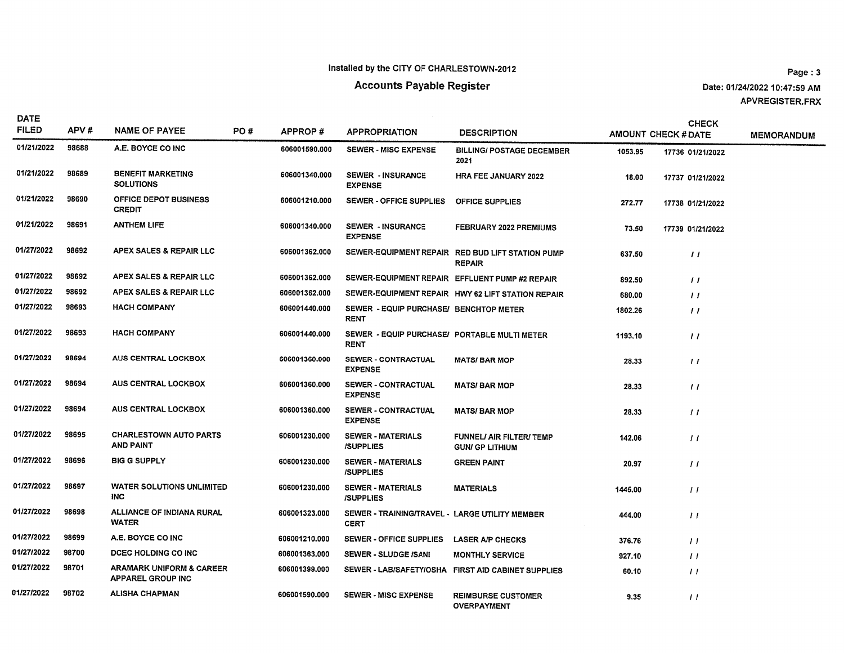#### **Accounts Payable Register**

Page: 3 Date: 01/24/2022 10:47:59 AM APVREGISTER.FRX

| <b>DATE</b><br><b>FILED</b> | APV#  | <b>NAME OF PAYEE</b><br>PO#                                     |  | APPROP#       | <b>APPROPRIATION</b>                                          | <b>DESCRIPTION</b>                                                |         | <b>CHECK</b><br><b>AMOUNT CHECK # DATE</b> | <b>MEMORANDUM</b> |
|-----------------------------|-------|-----------------------------------------------------------------|--|---------------|---------------------------------------------------------------|-------------------------------------------------------------------|---------|--------------------------------------------|-------------------|
| 01/21/2022                  | 98688 | A.E. BOYCE CO INC                                               |  | 606001590.000 | <b>SEWER - MISC EXPENSE</b>                                   | <b>BILLING/ POSTAGE DECEMBER</b><br>2021                          | 1053.95 | 17736 01/21/2022                           |                   |
| 01/21/2022                  | 98689 | <b>BENEFIT MARKETING</b><br><b>SOLUTIONS</b>                    |  | 606001340.000 | <b>SEWER - INSURANCE</b><br><b>EXPENSE</b>                    | <b>HRA FEE JANUARY 2022</b>                                       | 18.00   | 17737 01/21/2022                           |                   |
| 01/21/2022                  | 98690 | OFFICE DEPOT BUSINESS<br><b>CREDIT</b>                          |  | 606001210.000 | SEWER - OFFICE SUPPLIES                                       | <b>OFFICE SUPPLIES</b>                                            | 272.77  | 17738 01/21/2022                           |                   |
| 01/21/2022                  | 98691 | <b>ANTHEM LIFE</b>                                              |  | 606001340.000 | <b>SEWER - INSURANCE</b><br><b>EXPENSE</b>                    | FEBRUARY 2022 PREMIUMS                                            | 73.50   | 17739 01/21/2022                           |                   |
| 01/27/2022                  | 98692 | APEX SALES & REPAIR LLC                                         |  | 606001362.000 |                                                               | SEWER-EQUIPMENT REPAIR RED BUD LIFT STATION PUMP<br><b>REPAIR</b> | 637.50  | $\prime\prime$                             |                   |
| 01/27/2022                  | 98692 | APEX SALES & REPAIR LLC                                         |  | 606001362.000 |                                                               | SEWER-EQUIPMENT REPAIR EFFLUENT PUMP #2 REPAIR                    | 892.50  | $\prime\prime$                             |                   |
| 01/27/2022                  | 98692 | APEX SALES & REPAIR LLC                                         |  | 606001362.000 |                                                               | SEWER-EQUIPMENT REPAIR HWY 62 LIFT STATION REPAIR                 | 680.00  | $\prime\prime$                             |                   |
| 01/27/2022                  | 98693 | <b>HACH COMPANY</b>                                             |  | 606001440.000 | SEWER - EQUIP PURCHASE/ BENCHTOP METER<br><b>RENT</b>         |                                                                   | 1802.26 | $\prime\prime$                             |                   |
| 01/27/2022                  | 98693 | <b>HACH COMPANY</b>                                             |  | 606001440.000 | SEWER - EQUIP PURCHASE/ PORTABLE MULTI METER<br><b>RENT</b>   |                                                                   | 1193.10 | $\prime\prime$                             |                   |
| 01/27/2022                  | 98694 | <b>AUS CENTRAL LOCKBOX</b>                                      |  | 606001360.000 | SEWER - CONTRACTUAL<br><b>EXPENSE</b>                         | <b>MATS/BAR MOP</b>                                               | 28.33   | $\frac{1}{2}$                              |                   |
| 01/27/2022                  | 98694 | <b>AUS CENTRAL LOCKBOX</b>                                      |  | 606001360,000 | <b>SEWER - CONTRACTUAL</b><br><b>EXPENSE</b>                  | <b>MATS/BAR MOP</b>                                               | 28.33   | $\prime\prime$                             |                   |
| 01/27/2022                  | 98694 | <b>AUS CENTRAL LOCKBOX</b>                                      |  | 606001360,000 | SEWER - CONTRACTUAL<br><b>EXPENSE</b>                         | <b>MATS/BAR MOP</b>                                               | 28.33   | $\prime\prime$                             |                   |
| 01/27/2022                  | 98695 | <b>CHARLESTOWN AUTO PARTS</b><br>AND PAINT                      |  | 606001230.000 | <b>SEWER - MATERIALS</b><br><b>ISUPPLIES</b>                  | <b>FUNNEL/ AIR FILTER/ TEMP</b><br><b>GUN/ GP LITHIUM</b>         | 142.06  | 11                                         |                   |
| 01/27/2022                  | 98696 | <b>BIG G SUPPLY</b>                                             |  | 606001230.000 | <b>SEWER - MATERIALS</b><br><b>/SUPPLIES</b>                  | <b>GREEN PAINT</b>                                                | 20.97   | $\frac{1}{2}$                              |                   |
| 01/27/2022                  | 98697 | <b>WATER SOLUTIONS UNLIMITED</b><br>INC.                        |  | 606001230.000 | <b>SEWER - MATERIALS</b><br><b>ISUPPLIES</b>                  | <b>MATERIALS</b>                                                  | 1445.00 | $\prime\prime$                             |                   |
| 01/27/2022                  | 98698 | ALLIANCE OF INDIANA RURAL<br><b>WATER</b>                       |  | 606001323.000 | SEWER - TRAINING/TRAVEL - LARGE UTILITY MEMBER<br><b>CERT</b> |                                                                   | 444.00  | $\prime\prime$                             |                   |
| 01/27/2022                  | 98699 | A.E. BOYCE CO INC                                               |  | 606001210.000 | SEWER - OFFICE SUPPLIES                                       | <b>LASER A/P CHECKS</b>                                           | 376.76  | $\frac{1}{2}$                              |                   |
| 01/27/2022                  | 98700 | DCEC HOLDING CO INC                                             |  | 606001363.000 | <b>SEWER - SLUDGE /SANI</b>                                   | <b>MONTHLY SERVICE</b>                                            | 927.10  | $\prime\prime$                             |                   |
| 01/27/2022                  | 98701 | <b>ARAMARK UNIFORM &amp; CAREER</b><br><b>APPAREL GROUP INC</b> |  | 606001399.000 |                                                               | SEWER - LAB/SAFETY/OSHA FIRST AID CABINET SUPPLIES                | 60.10   | $\prime$                                   |                   |
| 01/27/2022                  | 98702 | <b>ALISHA CHAPMAN</b>                                           |  | 606001590.000 | <b>SEWER - MISC EXPENSE</b>                                   | <b>REIMBURSE CUSTOMER</b><br><b>OVERPAYMENT</b>                   | 9.35    | $\overline{11}$                            |                   |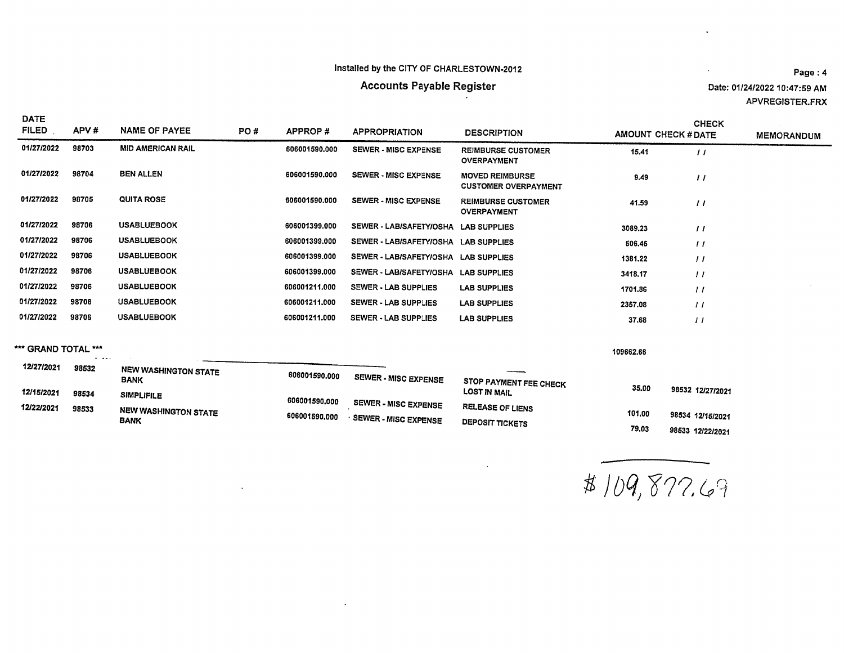$\ddot{\phantom{a}}$ 

# **Accounts Payable Register**

Date: 01/24/2022 10:47:59 AM APVREGISTER.FRX

 $\ddot{\phantom{a}}$ 

 $\sim 10^{-1}$ 

| <b>DATE</b><br><b>FILED</b> | APV#  | <b>NAME OF PAYEE</b>     | PO# | APPROP#       | <b>APPROPRIATION</b>                 | <b>DESCRIPTION</b>                                    | <b>AMOUNT CHECK # DATE</b> | <b>CHECK</b>   | <b>MEMORANDUM</b> |
|-----------------------------|-------|--------------------------|-----|---------------|--------------------------------------|-------------------------------------------------------|----------------------------|----------------|-------------------|
| 01/27/2022                  | 98703 | <b>MID AMERICAN RAIL</b> |     | 606001590.000 | <b>SEWER - MISC EXPENSE</b>          | <b>REIMBURSE CUSTOMER</b><br><b>OVERPAYMENT</b>       | 15.41                      | $\prime\prime$ |                   |
| 01/27/2022                  | 98704 | <b>BEN ALLEN</b>         |     | 606001590.000 | <b>SEWER - MISC EXPENSE</b>          | <b>MOVED REIMBURSE</b><br><b>CUSTOMER OVERPAYMENT</b> | 9.49                       | $\overline{1}$ |                   |
| 01/27/2022                  | 98705 | <b>QUITA ROSE</b>        |     | 606001590.000 | <b>SEWER - MISC EXPENSE</b>          | <b>REIMBURSE CUSTOMER</b><br><b>OVERPAYMENT</b>       | 41.59                      | $\frac{1}{2}$  |                   |
| 01/27/2022                  | 98706 | <b>USABLUEBOOK</b>       |     | 606001399.000 | SEWER - LAB/SAFETY/OSHA LAB SUPPLIES |                                                       | 3089.23                    | $^{\prime}$    |                   |
| 01/27/2022                  | 98706 | <b>USABLUEBOOK</b>       |     | 606001399.000 | SEWER - LAB/SAFETY/OSHA LAB SUPPLIES |                                                       | 506.45                     | $\prime\prime$ |                   |
| 01/27/2022                  | 98706 | <b>USABLUEBOOK</b>       |     | 606001399.000 | SEWER - LAB/SAFETY/OSHA LAB SUPPLIES |                                                       | 1381.22                    | $\prime\prime$ |                   |
| 01/27/2022                  | 98706 | <b>USABLUEBOOK</b>       |     | 606001399.000 | <b>SEWER - LAB/SAFETY/OSHA</b>       | <b>LAB SUPPLIES</b>                                   | 3418.17                    | $^{\prime}$    |                   |
| 01/27/2022                  | 98706 | <b>USABLUEBOOK</b>       |     | 606001211.000 | <b>SEWER - LAB SUPPLIES</b>          | <b>LAB SUPPLIES</b>                                   | 1701.86                    | $\prime\prime$ |                   |
| 01/27/2022                  | 98706 | <b>USABLUEBOOK</b>       |     | 606001211.000 | SEWER - LAB SUPPLIES                 | <b>LAB SUPPLIES</b>                                   | 2357.08                    | $^{\prime}$    |                   |
| 01/27/2022                  | 98706 | <b>USABLUEBOOK</b>       |     | 606001211.000 | <b>SEWER - LAB SUPPLIES</b>          | <b>LAB SUPPLIES</b>                                   | 37.68                      | ,,             |                   |

\*\*\* GRAND TOTAL \*\*\*

 $\mathbf{w} = \mathbf{w} \mathbf{w}$  .

109662.66

| 12/27/2021 | 98532 |                                     |               |                             |                         |        |                  |
|------------|-------|-------------------------------------|---------------|-----------------------------|-------------------------|--------|------------------|
|            |       | NEW WASHINGTON STATE<br><b>BANK</b> | 606001590.000 | <b>SEWER - MISC EXPENSE</b> | STOP PAYMENT FEE CHECK  |        |                  |
| 12/15/2021 | 98534 | <b>SIMPLIFILE</b>                   | 606001590.000 |                             | <b>LOST IN MAIL</b>     | 35.00  | 98532 12/27/2021 |
| 12/22/2021 | 98533 | NEW WASHINGTON STATE                | 606001590.000 | <b>SEWER - MISC EXPENSE</b> | <b>RELEASE OF LIENS</b> | 101.00 | 98534 12/15/2021 |
|            |       | <b>BANK</b>                         |               | SEWER - MISC EXPENSE        | <b>DEPOSIT TICKETS</b>  |        |                  |
|            |       |                                     |               |                             |                         | 79.03  | 98533 12/22/2021 |

 $\star$ 

 $\sim$ 

\$ 109,877.69

Page: 4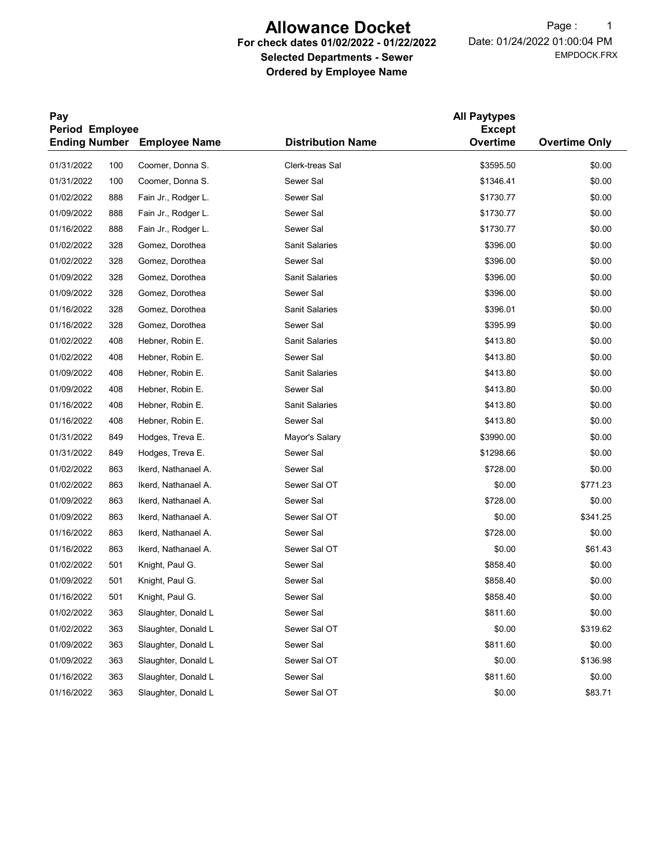# Allowance Docket

#### For check dates 01/02/2022 - 01/22/2022 Selected Departments - Sewer Ordered by Employee Name

EMPDOCK.FRX Date: 01/24/2022 01:00:04 PM Page: 1

| Pay<br>Period Employee |     |                                    |                          |           |                      |
|------------------------|-----|------------------------------------|--------------------------|-----------|----------------------|
|                        |     | <b>Ending Number</b> Employee Name | <b>Distribution Name</b> | Overtime  | <b>Overtime Only</b> |
| 01/31/2022             | 100 | Coomer, Donna S.                   | Clerk-treas Sal          | \$3595.50 | \$0.00               |
| 01/31/2022             | 100 | Coomer, Donna S.                   | Sewer Sal                | \$1346.41 | \$0.00               |
| 01/02/2022             | 888 | Fain Jr., Rodger L.                | Sewer Sal                | \$1730.77 | \$0.00               |
| 01/09/2022             | 888 | Fain Jr., Rodger L.                | Sewer Sal                | \$1730.77 | \$0.00               |
| 01/16/2022             | 888 | Fain Jr., Rodger L.                | Sewer Sal                | \$1730.77 | \$0.00               |
| 01/02/2022             | 328 | Gomez, Dorothea                    | <b>Sanit Salaries</b>    | \$396.00  | \$0.00               |
| 01/02/2022             | 328 | Gomez, Dorothea                    | Sewer Sal                | \$396.00  | \$0.00               |
| 01/09/2022             | 328 | Gomez, Dorothea                    | Sanit Salaries           | \$396.00  | \$0.00               |
| 01/09/2022             | 328 | Gomez, Dorothea                    | Sewer Sal                | \$396.00  | \$0.00               |
| 01/16/2022             | 328 | Gomez, Dorothea                    | <b>Sanit Salaries</b>    | \$396.01  | \$0.00               |
| 01/16/2022             | 328 | Gomez, Dorothea                    | Sewer Sal                | \$395.99  | \$0.00               |
| 01/02/2022             | 408 | Hebner, Robin E.                   | <b>Sanit Salaries</b>    | \$413.80  | \$0.00               |
| 01/02/2022             | 408 | Hebner, Robin E.                   | Sewer Sal                | \$413.80  | \$0.00               |
| 01/09/2022             | 408 | Hebner, Robin E.                   | <b>Sanit Salaries</b>    | \$413.80  | \$0.00               |
| 01/09/2022             | 408 | Hebner, Robin E.                   | Sewer Sal                | \$413.80  | \$0.00               |
| 01/16/2022             | 408 | Hebner, Robin E.                   | <b>Sanit Salaries</b>    | \$413.80  | \$0.00               |
| 01/16/2022             | 408 | Hebner, Robin E.                   | Sewer Sal                | \$413.80  | \$0.00               |
| 01/31/2022             | 849 | Hodges, Treva E.                   | Mayor's Salary           | \$3990.00 | \$0.00               |
| 01/31/2022             | 849 | Hodges, Treva E.                   | Sewer Sal                | \$1298.66 | \$0.00               |
| 01/02/2022             | 863 | Ikerd, Nathanael A.                | Sewer Sal                | \$728.00  | \$0.00               |
| 01/02/2022             | 863 | Ikerd, Nathanael A.                | Sewer Sal OT             | \$0.00    | \$771.23             |
| 01/09/2022             | 863 | Ikerd, Nathanael A.                | Sewer Sal                | \$728.00  | \$0.00               |
| 01/09/2022             | 863 | Ikerd, Nathanael A.                | Sewer Sal OT             | \$0.00    | \$341.25             |
| 01/16/2022             | 863 | Ikerd, Nathanael A.                | Sewer Sal                | \$728.00  | \$0.00               |
| 01/16/2022             | 863 | Ikerd, Nathanael A.                | Sewer Sal OT             | \$0.00    | \$61.43              |
| 01/02/2022             | 501 | Knight, Paul G.                    | Sewer Sal                | \$858.40  | \$0.00               |
| 01/09/2022             | 501 | Knight, Paul G.                    | Sewer Sal                | \$858.40  | \$0.00               |
| 01/16/2022             | 501 | Knight, Paul G.                    | Sewer Sal                | \$858.40  | \$0.00               |
| 01/02/2022             | 363 | Slaughter, Donald L                | Sewer Sal                | \$811.60  | \$0.00               |
| 01/02/2022             | 363 | Slaughter, Donald L                | Sewer Sal OT             | \$0.00    | \$319.62             |
| 01/09/2022             | 363 | Slaughter, Donald L                | Sewer Sal                | \$811.60  | \$0.00               |
| 01/09/2022             | 363 | Slaughter, Donald L                | Sewer Sal OT             | \$0.00    | \$136.98             |
| 01/16/2022             | 363 | Slaughter, Donald L                | Sewer Sal                | \$811.60  | \$0.00               |
| 01/16/2022             | 363 | Slaughter, Donald L                | Sewer Sal OT             | \$0.00    | \$83.71              |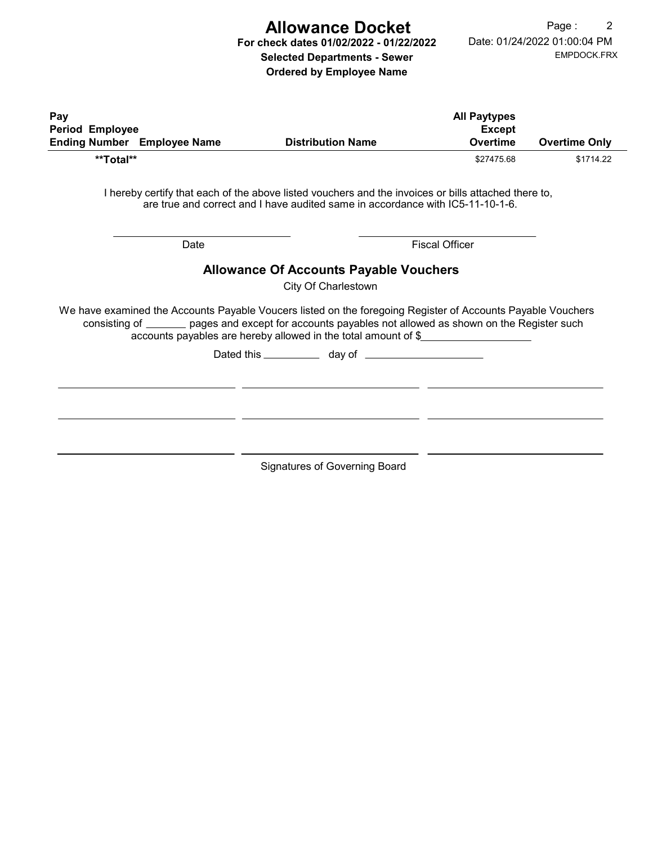# Allowance Docket

For check dates 01/02/2022 - 01/22/2022 Selected Departments - Sewer

Ordered by Employee Name

|                                                       |      |                                                                                                                                                                                                                                                                                         | <b>All Paytypes</b>              |                      |
|-------------------------------------------------------|------|-----------------------------------------------------------------------------------------------------------------------------------------------------------------------------------------------------------------------------------------------------------------------------------------|----------------------------------|----------------------|
| Period Employee<br><b>Ending Number</b> Employee Name |      | <b>Distribution Name</b>                                                                                                                                                                                                                                                                | <b>Except</b><br><b>Overtime</b> | <b>Overtime Only</b> |
| **Total**                                             |      |                                                                                                                                                                                                                                                                                         | \$27475.68                       | \$1714.22            |
|                                                       |      | I hereby certify that each of the above listed vouchers and the invoices or bills attached there to,<br>are true and correct and I have audited same in accordance with IC5-11-10-1-6.                                                                                                  |                                  |                      |
|                                                       | Date |                                                                                                                                                                                                                                                                                         | <b>Fiscal Officer</b>            |                      |
|                                                       |      | <b>Allowance Of Accounts Payable Vouchers</b>                                                                                                                                                                                                                                           |                                  |                      |
|                                                       |      |                                                                                                                                                                                                                                                                                         |                                  |                      |
|                                                       |      | City Of Charlestown                                                                                                                                                                                                                                                                     |                                  |                      |
|                                                       |      | We have examined the Accounts Payable Voucers listed on the foregoing Register of Accounts Payable Vouchers<br>consisting of _______ pages and except for accounts payables not allowed as shown on the Register such<br>accounts payables are hereby allowed in the total amount of \$ |                                  |                      |
|                                                       |      |                                                                                                                                                                                                                                                                                         |                                  |                      |
|                                                       |      |                                                                                                                                                                                                                                                                                         |                                  |                      |
|                                                       |      |                                                                                                                                                                                                                                                                                         |                                  |                      |
|                                                       |      |                                                                                                                                                                                                                                                                                         |                                  |                      |
|                                                       |      |                                                                                                                                                                                                                                                                                         |                                  |                      |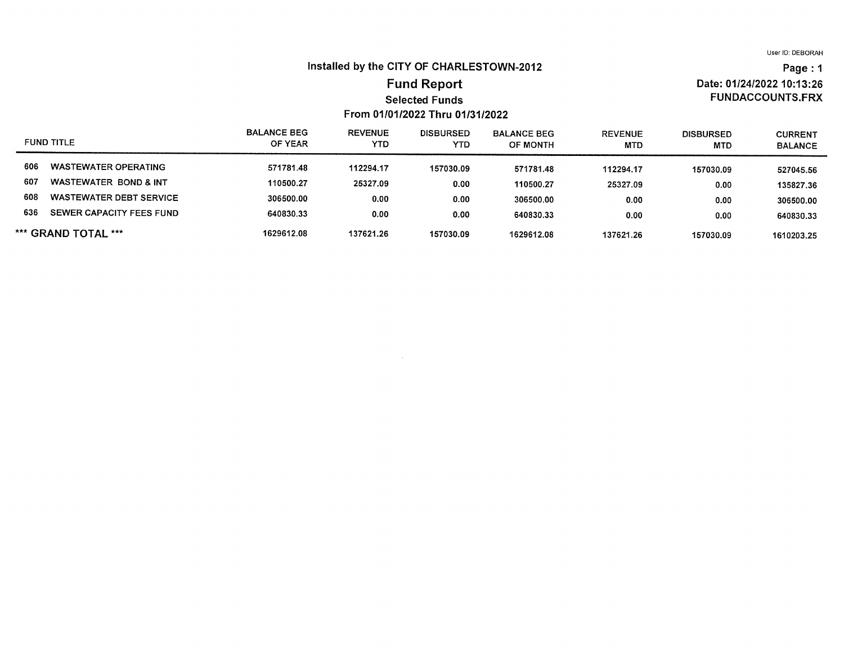Date: 01/24/2022 10:13:26 **FUNDACCOUNTS.FRX** 

Page: 1

#### Installed by the CITY OF CHARLESTOWN-2012

#### **Fund Report Selected Funds** From 01/01/2022 Thru 01/31/2022

#### **BALANCE BEG REVENUE DISBURSED BALANCE BEG REVENUE DISBURSED CURRENT FUND TITLE** OF YEAR **YTD YTD** OF MONTH **MTD MTD BALANCE WASTEWATER OPERATING** 606 571781.48 112294.17 157030.09 571781.48 112294.17 157030.09 527045.56 607 WASTEWATER BOND & INT 110500.27 25327.09  $0.00$ 110500.27 25327.09  $0.00$ 135827.36 608 **WASTEWATER DEBT SERVICE** 306500.00  $0.00$  $0.00$ 306500.00  $0.00$  $0.00$ 306500.00 636 SEWER CAPACITY FEES FUND 640830.33  $0.00$  $0.00$ 640830.33  $0.00$  $0.00$ 640830.33 \*\*\* GRAND TOTAL \*\*\* 1629612.08 137621.26 157030.09 1629612.08 137621.26 157030.09 1610203.25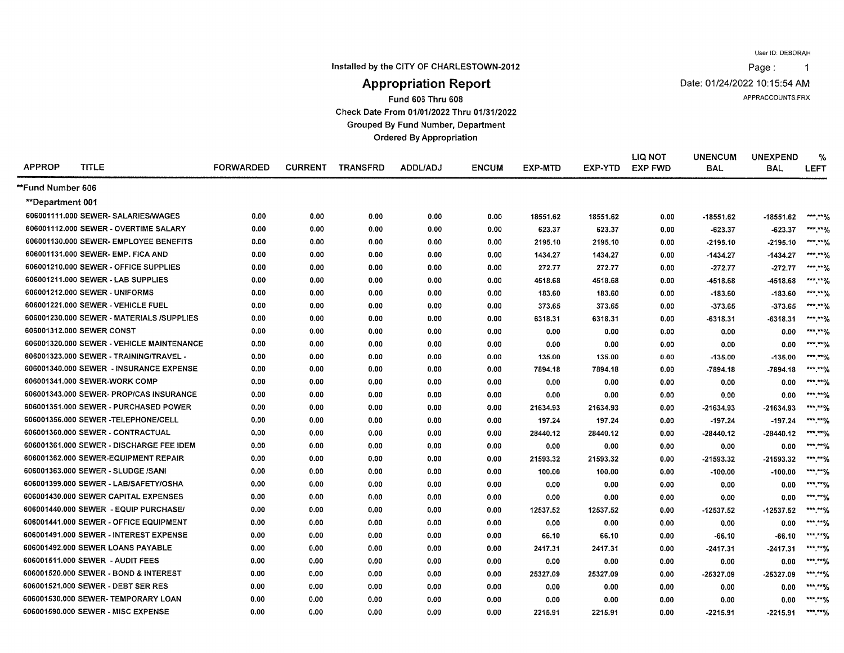Installed by the CITY OF CHARLESTOWN-2012

Page:  $\overline{1}$ 

Date: 01/24/2022 10:15:54 AM

APPRACCOUNTS.FRX

# **Appropriation Report**

Fund 606 Thru 608

Check Date From 01/01/2022 Thru 01/31/2022

**Grouped By Fund Number, Department** 

**Ordered By Appropriation** 

| <b>APPROP</b>     | <b>TITLE</b>                              | <b>FORWARDED</b> | <b>CURRENT</b> | <b>TRANSFRD</b> | ADDL/ADJ | <b>ENCUM</b> | <b>EXP-MTD</b> | EXP-YTD  | LIQ NOT<br><b>EXP FWD</b> | <b>UNENCUM</b><br><b>BAL</b> | <b>UNEXPEND</b><br><b>BAL</b> | %<br><b>LEFT</b>         |
|-------------------|-------------------------------------------|------------------|----------------|-----------------|----------|--------------|----------------|----------|---------------------------|------------------------------|-------------------------------|--------------------------|
| **Fund Number 606 |                                           |                  |                |                 |          |              |                |          |                           |                              |                               |                          |
| **Department 001  |                                           |                  |                |                 |          |              |                |          |                           |                              |                               |                          |
|                   | 606001111.000 SEWER- SALARIES/WAGES       | 0.00             | 0.00           | 0.00            | 0.00     | 0.00         | 18551.62       | 18551.62 | 0.00                      | $-18551.62$                  | $-18551.62$                   | *** **%                  |
|                   | 606001112.000 SEWER - OVERTIME SALARY     | 0.00             | 0.00           | 0.00            | 0.00     | 0.00         | 623.37         | 623.37   | 0.00                      | $-623.37$                    | $-623.37$                     | *** **%                  |
|                   | 606001130.000 SEWER- EMPLOYEE BENEFITS    | 0.00             | 0.00           | 0.00            | 0.00     | 0.00         | 2195.10        | 2195.10  | 0.00                      | $-2195.10$                   | $-2195.10$                    | *** **%                  |
|                   | 606001131.000 SEWER- EMP. FICA AND        | 0.00             | 0.00           | 0.00            | 0.00     | 0.00         | 1434.27        | 1434.27  | 0.00                      | $-1434.27$                   | $-1434.27$                    | ***.**%                  |
|                   | 606001210.000 SEWER - OFFICE SUPPLIES     | 0.00             | 0.00           | 0.00            | 0.00     | 0.00         | 272.77         | 272.77   | 0.00                      | $-272.77$                    | $-272.77$                     | ***.**%                  |
|                   | 606001211.000 SEWER - LAB SUPPLIES        | 0.00             | 0.00           | 0.00            | 0.00     | 0.00         | 4518.68        | 4518.68  | 0.00                      | -4518.68                     | -4518.68                      | ***.**%                  |
|                   | 606001212.000 SEWER - UNIFORMS            | 0.00             | 0.00           | 0.00            | 0.00     | 0.00         | 183.60         | 183.60   | 0.00                      | $-183.60$                    | $-183.60$                     | $*****0/$                |
|                   | 606001221.000 SEWER - VEHICLE FUEL        | 0.00             | 0.00           | 0.00            | 0.00     | 0.00         | 373.65         | 373.65   | 0.00                      | $-373.65$                    | $-373.65$                     | ***.**%                  |
|                   | 606001230.000 SEWER - MATERIALS /SUPPLIES | 0.00             | 0.00           | 0.00            | 0.00     | 0.00         | 6318.31        | 6318.31  | 0.00                      | $-6318.31$                   | $-6318.31$                    | $***,***$                |
|                   | 606001312.000 SEWER CONST                 | 0.00             | 0.00           | 0.00            | 0.00     | 0.00         | 0.00           | 0.00     | 0.00                      | 0.00                         | 0.00                          | ***.**%                  |
|                   | 606001320.000 SEWER - VEHICLE MAINTENANCE | 0.00             | 0.00           | 0.00            | 0.00     | 0.00         | 0.00           | 0.00     | 0.00                      | 0.00                         | 0.00                          | $***$ $**$ $\frac{9}{4}$ |
|                   | 606001323.000 SEWER - TRAINING/TRAVEL -   | 0.00             | 0.00           | 0.00            | 0.00     | 0.00         | 135.00         | 135.00   | 0.00                      | $-135.00$                    | $-135.00$                     | ***.**%                  |
|                   | 606001340.000 SEWER - INSURANCE EXPENSE   | 0.00             | 0.00           | 0.00            | 0.00     | 0.00         | 7894.18        | 7894.18  | 0.00                      | $-7894.18$                   | $-7894.18$                    | ***.**%                  |
|                   | 606001341.000 SEWER-WORK COMP             | 0.00             | 0.00           | 0.00            | 0.00     | 0.00         | 0.00           | 0.00     | 0.00                      | 0.00                         | 0.00                          | *** ***/                 |
|                   | 606001343.000 SEWER- PROP/CAS INSURANCE   | 0.00             | 0.00           | 0.00            | 0.00     | 0.00         | 0.00           | 0.00     | 0.00                      | 0.00                         | 0.00                          | *** ****/                |
|                   | 606001351.000 SEWER - PURCHASED POWER     | 0.00             | 0.00           | 0.00            | 0.00     | 0.00         | 21634.93       | 21634.93 | 0.00                      | -21634.93                    | $-21634.93$                   | *** **%                  |
|                   | 606001356.000 SEWER -TELEPHONE/CELL       | 0.00             | 0.00           | 0.00            | 0.00     | 0.00         | 197.24         | 197.24   | 0.00                      | $-197.24$                    | $-197.24$                     | *** ****                 |
|                   | 606001360.000 SEWER - CONTRACTUAL         | 0.00             | 0.00           | 0.00            | 0.00     | 0.00         | 28440.12       | 28440.12 | 0.00                      | -28440.12                    | $-28440.12$                   | *** ***/                 |
|                   | 606001361.000 SEWER - DISCHARGE FEE IDEM  | 0.00             | 0.00           | 0.00            | 0.00     | 0.00         | 0.00           | 0.00     | 0.00                      | 0.00                         | 0.00                          | *** ***/                 |
|                   | 606001362.000 SEWER-EQUIPMENT REPAIR      | 0.00             | 0.00           | 0.00            | 0.00     | 0.00         | 21593.32       | 21593.32 | 0.00                      | -21593.32                    | $-21593.32$                   | *** ***/                 |
|                   | 606001363.000 SEWER - SLUDGE /SANI        | 0.00             | 0.00           | 0.00            | 0.00     | 0.00         | 100.00         | 100.00   | 0.00                      | $-100.00$                    | $-100.00$                     | *** **%                  |
|                   | 606001399.000 SEWER - LAB/SAFETY/OSHA     | 0.00             | 0.00           | 0.00            | 0.00     | 0.00         | 0.00           | 0.00     | 0.00                      | 0.00                         | 0.00                          | *** ***/                 |
|                   | 606001430.000 SEWER CAPITAL EXPENSES      | 0.00             | 0.00           | 0.00            | 0.00     | 0.00         | 0.00           | 0.00     | 0.00                      | 0.00                         | 0.00                          | ***.**%                  |
|                   | 606001440.000 SEWER - EQUIP PURCHASE/     | 0.00             | 0.00           | 0.00            | 0.00     | 0.00         | 12537.52       | 12537.52 | 0.00                      | -12537.52                    | $-12537.52$                   | $*****0$                 |
|                   | 606001441.000 SEWER - OFFICE EQUIPMENT    | 0.00             | 0.00           | 0.00            | 0.00     | 0.00         | 0.00           | 0.00     | 0.00                      | 0.00                         | 0.00                          | ***.**%                  |
|                   | 606001491.000 SEWER - INTEREST EXPENSE    | 0.00             | 0.00           | 0.00            | 0.00     | 0.00         | 66.10          | 66.10    | 0.00                      | $-66.10$                     | $-66.10$                      | ***.**%                  |
|                   | 606001492.000 SEWER LOANS PAYABLE         | 0.00             | 0.00           | 0.00            | 0.00     | 0.00         | 2417.31        | 2417.31  | 0.00                      | $-2417.31$                   | $-2417.31$                    | ***.**%                  |
|                   | 606001511.000 SEWER - AUDIT FEES          | 0.00             | 0.00           | 0.00            | 0.00     | 0.00         | 0.00           | 0.00     | 0.00                      | 0.00                         | 0.00                          | ***.**%                  |
|                   | 606001520.000 SEWER - BOND & INTEREST     | 0.00             | 0.00           | 0.00            | 0.00     | 0.00         | 25327.09       | 25327.09 | 0.00                      | -25327.09                    | $-25327.09$                   | ***.**%                  |
|                   | 606001521.000 SEWER - DEBT SER RES        | 0.00             | 0.00           | 0.00            | 0.00     | 0.00         | 0.00           | 0.00     | 0.00                      | 0.00                         | 0.00                          | ***.**%                  |
|                   | 606001530.000 SEWER-TEMPORARY LOAN        | 0.00             | 0.00           | 0.00            | 0.00     | 0.00         | 0.00           | 0.00     | 0.00                      | 0.00                         | 0.00                          | ***.**%                  |
|                   | 606001590.000 SEWER - MISC EXPENSE        | 0.00             | 0.00           | 0.00            | 0.00     | 0.00         | 2215.91        | 2215.91  | 0.00                      | $-2215.91$                   | -2215.91                      | ***.**%                  |
|                   |                                           |                  |                |                 |          |              |                |          |                           |                              |                               |                          |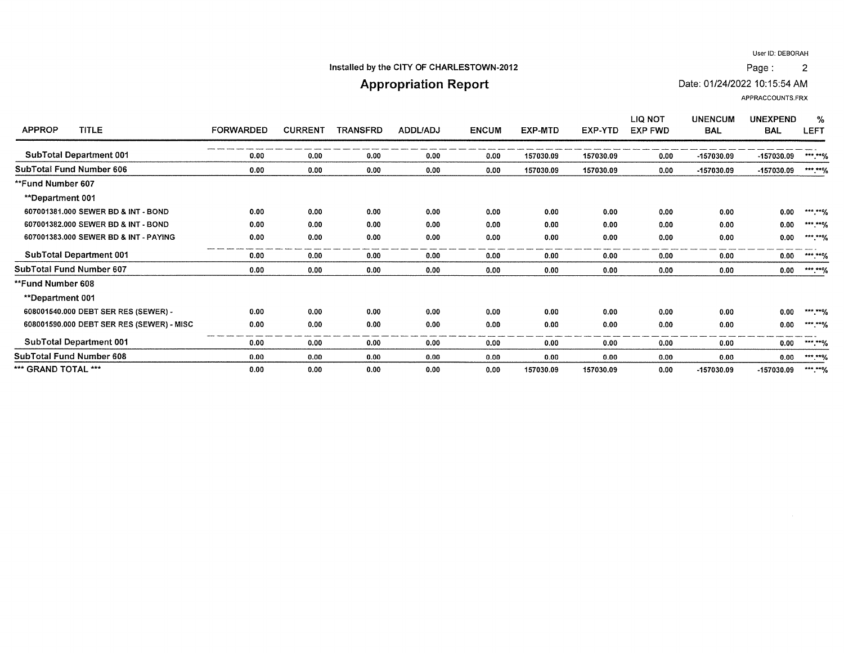$\overline{2}$ 

#### Installed by the CITY OF CHARLESTOWN-2012

# **Appropriation Report**

Date: 01/24/2022 10:15:54 AM

APPRACCOUNTS.FRX

Page:

| <b>APPROP</b><br><b>TITLE</b>             | <b>FORWARDED</b> | <b>CURRENT</b> | <b>TRANSFRD</b> | <b>ADDL/ADJ</b> | <b>ENCUM</b> | EXP-MTD   | EXP-YTD   | LIQ NOT<br><b>EXP FWD</b> | <b>UNENCUM</b><br><b>BAL</b> | <b>UNEXPEND</b><br><b>BAL</b> | %<br><b>LEFT</b>     |
|-------------------------------------------|------------------|----------------|-----------------|-----------------|--------------|-----------|-----------|---------------------------|------------------------------|-------------------------------|----------------------|
|                                           |                  |                |                 |                 |              |           |           |                           |                              |                               |                      |
| <b>SubTotal Department 001</b>            | 0.00             | 0.00           | 0.00            | 0.00            | 0.00         | 157030.09 | 157030.09 | 0.00                      | -157030.09                   | -157030.09                    | $*****%$             |
| SubTotal Fund Number 606                  | 0.00             | 0.00           | 0.00            | 0.00            | 0.00         | 157030.09 | 157030.09 | 0.00                      | -157030.09                   | -157030.09                    | ***.**%              |
| **Fund Number 607                         |                  |                |                 |                 |              |           |           |                           |                              |                               |                      |
| <b>**Department 001</b>                   |                  |                |                 |                 |              |           |           |                           |                              |                               |                      |
| 607001381.000 SEWER BD & INT - BOND       | 0.00             | 0.00           | 0.00            | 0.00            | 0.00         | 0.00      | 0.00      | 0.00                      | 0.00                         | 0.00                          | *** **%              |
| 607001382.000 SEWER BD & INT - BOND       | 0.00             | 0.00           | 0.00            | 0.00            | 0.00         | 0.00      | 0.00      | 0.00                      | 0.00                         | 0.00                          | ***.**%              |
| 607001383.000 SEWER BD & INT - PAYING     | 0.00             | 0.00           | 0.00            | 0.00            | 0.00         | 0.00      | 0.00      | 0.00                      | 0.00                         | 0.00                          | ***.**%              |
| <b>SubTotal Department 001</b>            | 0.00             | 0.00           | 0.00            | 0.00            | 0.00         | 0.00      | 0.00      | 0.00                      | 0.00                         | 0.00                          | ***.**%              |
| SubTotal Fund Number 607                  | 0.00             | 0.00           | 0.00            | 0.00            | 0.00         | 0.00      | 0.00      | 0.00                      | 0.00                         | 0.00                          | ***.**%              |
| **Fund Number 608                         |                  |                |                 |                 |              |           |           |                           |                              |                               |                      |
| <b>**Department 001</b>                   |                  |                |                 |                 |              |           |           |                           |                              |                               |                      |
| 608001540.000 DEBT SER RES (SEWER) -      | 0.00             | 0.00           | 0.00            | 0.00            | 0.00         | 0.00      | 0.00      | 0.00                      | 0.00                         | 0.00                          | *** ** $\frac{1}{2}$ |
| 608001590.000 DEBT SER RES (SEWER) - MISC | 0.00             | 0.00           | 0.00            | 0.00            | 0.00         | 0.00      | 0.00      | 0.00                      | 0.00                         | 0.00                          | ***.**%              |
| <b>SubTotal Department 001</b>            | 0.00             | 0.00           | 0.00            | 0.00            | 0.00         | 0.00      | 0.00      | 0.00                      | 0.00                         | 0.00                          | ***.**%              |
| SubTotal Fund Number 608                  | 0.00             | 0.00           | 0.00            | 0.00            | 0.00         | 0.00      | 0.00      | 0.00                      | 0.00                         | 0.00                          | ***.**%              |
| *** GRAND TOTAL ***                       | 0.00             | 0.00           | 0.00            | 0.00            | 0.00         | 157030.09 | 157030.09 | 0.00                      | -157030.09                   | -157030.09                    | ***.**%              |